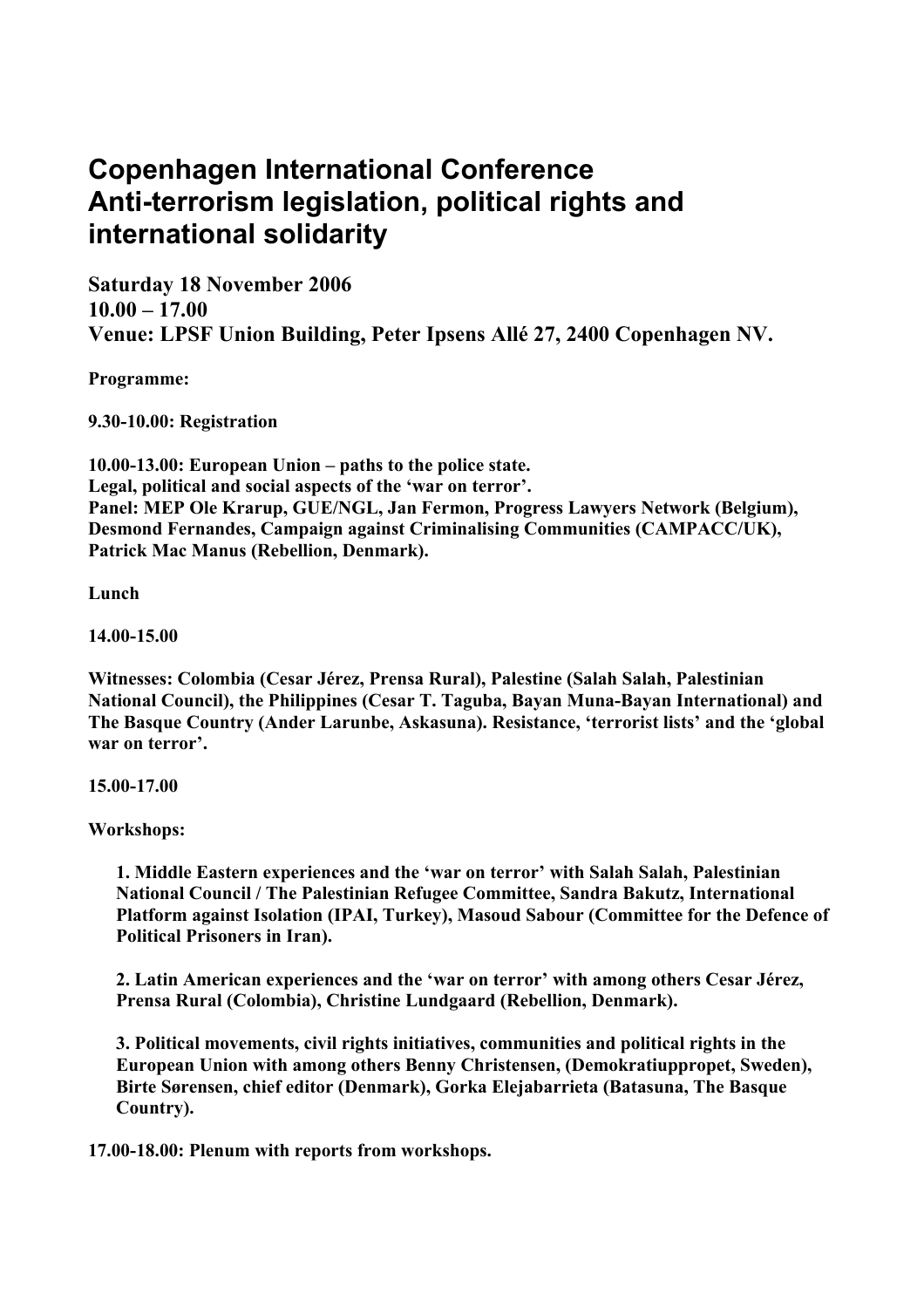## **Copenhagen International Conference Anti-terrorism legislation, political rights and international solidarity**

**Saturday 18 November 2006 10.00 – 17.00 Venue: LPSF Union Building, Peter Ipsens Allé 27, 2400 Copenhagen NV.** 

**Programme:** 

**9.30-10.00: Registration** 

**10.00-13.00: European Union – paths to the police state. Legal, political and social aspects of the 'war on terror'. Panel: MEP Ole Krarup, GUE/NGL, Jan Fermon, Progress Lawyers Network (Belgium), Desmond Fernandes, Campaign against Criminalising Communities (CAMPACC/UK), Patrick Mac Manus (Rebellion, Denmark).** 

**Lunch** 

**14.00-15.00** 

**Witnesses: Colombia (Cesar Jérez, Prensa Rural), Palestine (Salah Salah, Palestinian National Council), the Philippines (Cesar T. Taguba, Bayan Muna-Bayan International) and The Basque Country (Ander Larunbe, Askasuna). Resistance, 'terrorist lists' and the 'global war on terror'.** 

**15.00-17.00** 

**Workshops:** 

**1. Middle Eastern experiences and the 'war on terror' with Salah Salah, Palestinian National Council / The Palestinian Refugee Committee, Sandra Bakutz, International Platform against Isolation (IPAI, Turkey), Masoud Sabour (Committee for the Defence of Political Prisoners in Iran).** 

**2. Latin American experiences and the 'war on terror' with among others Cesar Jérez, Prensa Rural (Colombia), Christine Lundgaard (Rebellion, Denmark).** 

**3. Political movements, civil rights initiatives, communities and political rights in the European Union with among others Benny Christensen, (Demokratiuppropet, Sweden), Birte Sørensen, chief editor (Denmark), Gorka Elejabarrieta (Batasuna, The Basque Country).** 

**17.00-18.00: Plenum with reports from workshops.**